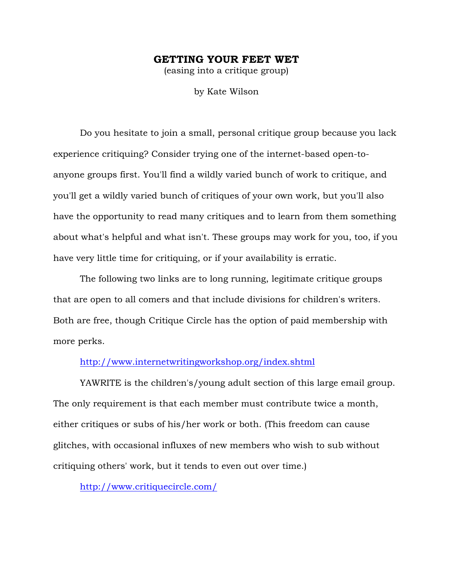## GETTING YOUR FEET WET

(easing into a critique group)

by Kate Wilson

Do you hesitate to join a small, personal critique group because you lack experience critiquing? Consider trying one of the internet-based open-toanyone groups first. You'll find a wildly varied bunch of work to critique, and you'll get a wildly varied bunch of critiques of your own work, but you'll also have the opportunity to read many critiques and to learn from them something about what's helpful and what isn't. These groups may work for you, too, if you have very little time for critiquing, or if your availability is erratic.

The following two links are to long running, legitimate critique groups that are open to all comers and that include divisions for children's writers. Both are free, though Critique Circle has the option of paid membership with more perks.

## http://www.internetwritingworkshop.org/index.shtml

YAWRITE is the children's/young adult section of this large email group. The only requirement is that each member must contribute twice a month, either critiques or subs of his/her work or both. (This freedom can cause glitches, with occasional influxes of new members who wish to sub without critiquing others' work, but it tends to even out over time.)

http://www.critiquecircle.com/